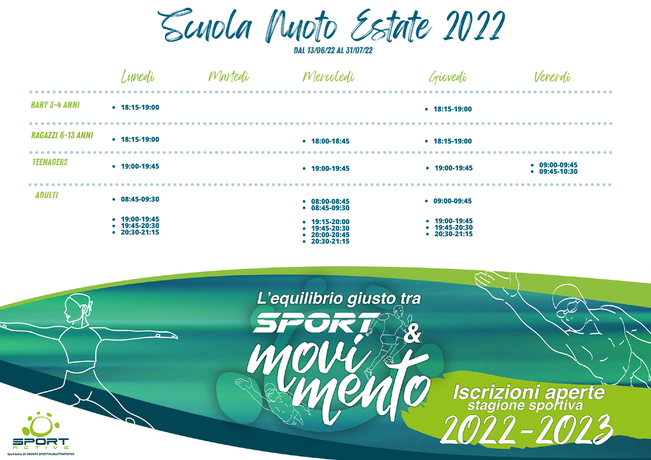Scuola Nuoto Estate 2022

dal 13/06/22 al 31/07/22

|                      | Lunedù                                                      | Martedi | Mercoledi                                                                   | Giovedi                                                 | Venerdù                              |
|----------------------|-------------------------------------------------------------|---------|-----------------------------------------------------------------------------|---------------------------------------------------------|--------------------------------------|
| <b>BABY 3-4 ANNI</b> | $\cdot$ 18:15-19:00                                         |         |                                                                             | $\bullet$ 18:15-19:00                                   |                                      |
| RAGAZZI 6-13 ANNI    | $\bullet$ 18:15-19:00                                       |         | $• 18:00-18:45$                                                             | $• 18:15-19:00$                                         |                                      |
| <b>TEENAGERS</b>     | $\cdot$ 19:00-19:45                                         |         | $\cdot$ 19:00-19:45                                                         | $• 19:00-19:45$                                         | $\cdot$ 09:00-09:45<br>$09:45-10:30$ |
| <b>ADULTI</b>        | $08:45-09:30$                                               |         | $08:00-08:45$<br>$08:45-09:30$                                              | $09:00-09:45$                                           |                                      |
|                      | $\bullet$ 19:00-19:45<br>$• 19:45-20:30$<br>$• 20:30-21:15$ |         | $• 19:15 - 20:00$<br>19:45-20:30<br>20:00-20:45<br>$\bullet$<br>20:30-21:15 | $• 19:00-19:45$<br>$• 19:45 - 20:30$<br>$• 20:30-21:15$ |                                      |

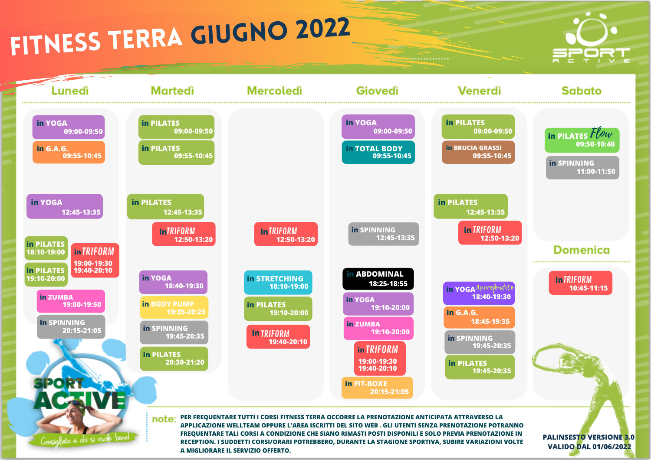## fitness TERRA GIUGNO <sup>2022</sup>





. . . <del>. . . . .</del> . . . . . . . . . . .